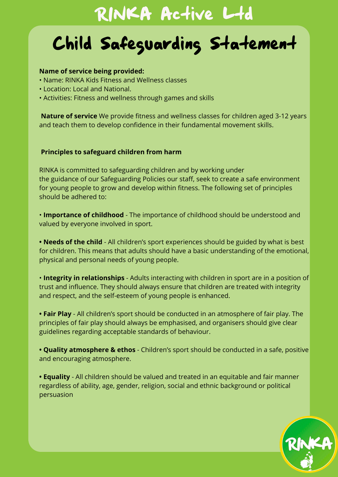## RINKA Active Ltd

# Child Safeguarding Statement

#### **Name of service being provided:**

- Name: RINKA Kids Fitness and Wellness classes
- Location: Local and National.
- Activities: Fitness and wellness through games and skills

**Nature of service** We provide fitness and wellness classes for children aged 3-12 years and teach them to develop confidence in their fundamental movement skills.

#### **Principles to safeguard children from harm**

RINKA is committed to safeguarding children and by working under the guidance of our Safeguarding Policies our staff, seek to create a safe environment for young people to grow and develop within fitness. The following set of principles should be adhered to:

• **Importance of childhood** - The importance of childhood should be understood and valued by everyone involved in sport.

• **Needs of the child** - All children's sport experiences should be guided by what is best for children. This means that adults should have a basic understanding of the emotional, physical and personal needs of young people.

• **Integrity in relationships** - Adults interacting with children in sport are in a position of trust and influence. They should always ensure that children are treated with integrity and respect, and the self-esteem of young people is enhanced.

**• Fair Play** - All children's sport should be conducted in an atmosphere of fair play. The principles of fair play should always be emphasised, and organisers should give clear guidelines regarding acceptable standards of behaviour.

**• Quality atmosphere & ethos** - Children's sport should be conducted in a safe, positive and encouraging atmosphere.

**• Equality** - All children should be valued and treated in an equitable and fair manner regardless of ability, age, gender, religion, social and ethnic background or political persuasion

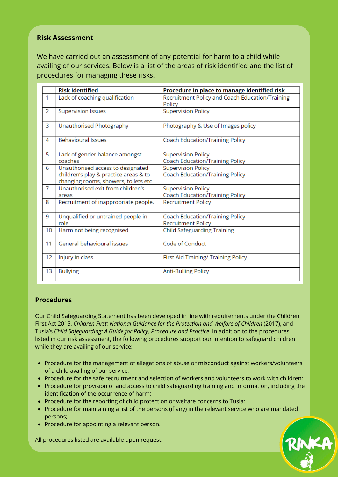#### **Risk Assessment**

We have carried out an assessment of any potential for harm to a child while availing of our services. Below is a list of the areas of risk identified and the list of procedures for managing these risks.

|                | <b>Risk identified</b>                                                                                             | Procedure in place to manage identified risk                        |
|----------------|--------------------------------------------------------------------------------------------------------------------|---------------------------------------------------------------------|
| $\mathbf{1}$   | Lack of coaching qualification                                                                                     | Recruitment Policy and Coach Education/Training<br>Policy           |
| $\overline{2}$ | <b>Supervision Issues</b>                                                                                          | <b>Supervision Policy</b>                                           |
| 3              | Unauthorised Photography                                                                                           | Photography & Use of Images policy                                  |
| 4              | <b>Behavioural Issues</b>                                                                                          | Coach Education/Training Policy                                     |
| 5              | Lack of gender balance amongst<br>coaches                                                                          | <b>Supervision Policy</b><br>Coach Education/Training Policy        |
| 6              | Unauthorised access to designated<br>children's play & practice areas & to<br>changing rooms, showers, toilets etc | <b>Supervision Policy</b><br>Coach Education/Training Policy        |
| $\overline{7}$ | Unauthorised exit from children's<br>areas                                                                         | <b>Supervision Policy</b><br>Coach Education/Training Policy        |
| 8              | Recruitment of inappropriate people.                                                                               | <b>Recruitment Policy</b>                                           |
| 9              | Unqualified or untrained people in<br>role                                                                         | <b>Coach Education/Training Policy</b><br><b>Recruitment Policy</b> |
| 10             | Harm not being recognised                                                                                          | <b>Child Safeguarding Training</b>                                  |
| 11             | General behavioural issues                                                                                         | Code of Conduct                                                     |
| 12             | Injury in class                                                                                                    | First Aid Training/ Training Policy                                 |
| 13             | <b>Bullying</b>                                                                                                    | <b>Anti-Bulling Policy</b>                                          |

#### **Procedures**

Our Child Safeguarding Statement has been developed in line with requirements under the Children First Act 2015, *Children First: National Guidance for the Protection and Welfare of Children* (2017), and Tusla's *Child Safeguarding: A Guide for Policy, Procedure and Practice*. In addition to the procedures listed in our risk assessment, the following procedures support our intention to safeguard children while they are availing of our service:

- Procedure for the management of allegations of abuse or misconduct against workers/volunteers of a child availing of our service;
- Procedure for the safe recruitment and selection of workers and volunteers to work with children;
- Procedure for provision of and access to child safeguarding training and information, including the identification of the occurrence of harm;
- Procedure for the reporting of child protection or welfare concerns to Tusla;
- Procedure for maintaining a list of the persons (if any) in the relevant service who are mandated persons;
- Procedure for appointing a relevant person.

All procedures listed are available upon request.